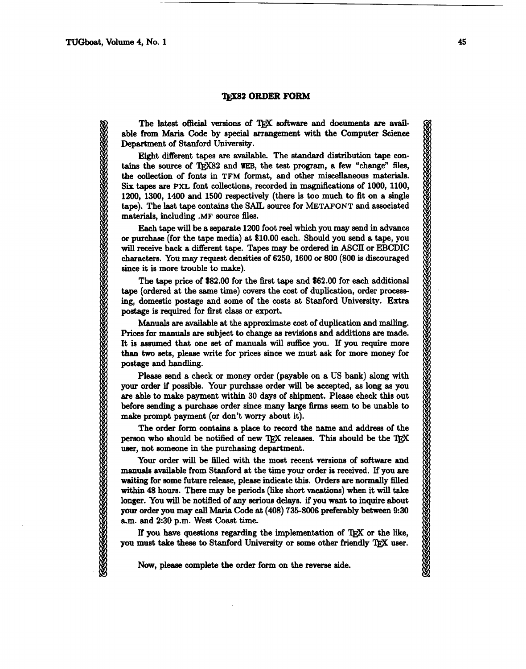## *TEX82 ORDER FORM*

The latest official versions of TEX software and documents are available from **Maria** Code by special arrangement with the Computer Science Department of Stanford University.

Eight different tapes are available. The standard distribution tape contains the source of T<sub>R</sub>X82 and WEB, the test program, a few "change" files, the collection of fonts in **TFM** format, and other miscellaneous materials. Six **tapes** are **PXL** font collections, recorded in magnifications of 1000, 1100, 1200, 1300, 1400 and 1500 respectively (there is too much to fit on a single tape). The last **tape** contains the **SAIL** source for **METAFONT and** associated materials, including **.MF** source **files.** 

Each tape will be a separate 1200 foot reel which you may send in advance or purchase (for the tape media) at \$10.00 each. Should you send a tape, you will receive back a different **tape.** Tapes may **be** ordered in ASCII or EBCDIC characters. You may request densities of 6250, 1600 or 800 (800 is discouraged since it is more trouble to make).

The tape price of \$82.00 for the first tape and \$62.00 for each additional **tape** (ordered at the same time) cwers the cost of duplication, order processing, domestic postage and some of the costs at Stanford University. Extra postage is required for first class or export.

Manuals are available at the approximate cost of duplication and mailing. Pricea for manuals **are** subject to change as revisions and additions are made. It is assumed that one set of manuals will suffice you. If you require more than **two** sets, please write for prices since we must **ask** for more money for postage and handling.

Please send a check or money order (payable on a US bank) along with **your** order if possible. Your purchase order will be accepted, **as** long as you **are** able to make payment within 30 days of shipment. Please check this out before sending a purchase order since **many** large firms *seem* to be unable to make prompt payment (or don't worry about it).

The order form contains a place to record the name and address of the person who should be notified of new TEX releases. This should be the TEX user, not someone in the purchasing department.

Your order will be filled with the most recent versions of software and manuals available from Stanford at the time your order is received. If you **are**  waiting for some future release, please indicate this. Orders **are** normally filled within 48 hours. There may be periods (like short vacations) when it will take longer. You will be notified of any serious delays. if you want to inquire about **your** order you may call **Maria** Code at (408) 735-8006 preferably between 9:30 a.m. and 2:30 p.m. West Coast time.

If you have questions regarding the implementation of T<sub>F</sub>X or the like, you must take these to Stanford University or some other friendly TEX user.

Now, please complete the order form on the reverse side.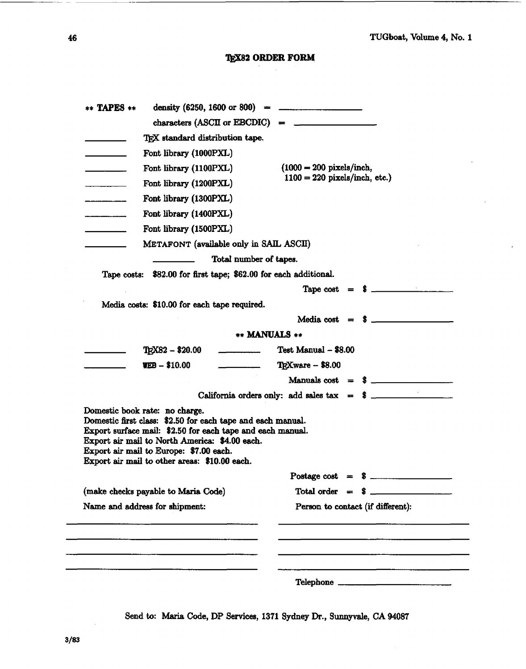# **TEX82 ORDER FORM**

| density $(6250, 1600 \text{ or } 800)$ =<br>** TAPES **                                                                                                                                                                                                                                                   | <u> Alexandria de la contrada de la contrada de la contrada de la contrada de la contrada de la contrada de la c</u> |
|-----------------------------------------------------------------------------------------------------------------------------------------------------------------------------------------------------------------------------------------------------------------------------------------------------------|----------------------------------------------------------------------------------------------------------------------|
|                                                                                                                                                                                                                                                                                                           | characters $(ASCII or EBCDIC) =$                                                                                     |
| TEX standard distribution tape.                                                                                                                                                                                                                                                                           |                                                                                                                      |
| Font library (1000PXL)                                                                                                                                                                                                                                                                                    |                                                                                                                      |
| Font library (1100PXL)                                                                                                                                                                                                                                                                                    | $(1000 = 200 \text{ pixels/inch},$                                                                                   |
| Font library (1200PXL)                                                                                                                                                                                                                                                                                    | $1100 = 220$ pixels/inch, etc.)                                                                                      |
| Font library (1300PXL)<br>$\frac{1}{2}$                                                                                                                                                                                                                                                                   |                                                                                                                      |
| Font library (1400PXL)                                                                                                                                                                                                                                                                                    |                                                                                                                      |
| Font library (1500PXL)                                                                                                                                                                                                                                                                                    |                                                                                                                      |
| METAFONT (available only in SAIL ASCII)                                                                                                                                                                                                                                                                   |                                                                                                                      |
|                                                                                                                                                                                                                                                                                                           | Total number of tapes.                                                                                               |
| Tape costs: \$82.00 for first tape; \$62.00 for each additional.                                                                                                                                                                                                                                          |                                                                                                                      |
|                                                                                                                                                                                                                                                                                                           |                                                                                                                      |
| Media costs: \$10.00 for each tape required.                                                                                                                                                                                                                                                              |                                                                                                                      |
|                                                                                                                                                                                                                                                                                                           |                                                                                                                      |
|                                                                                                                                                                                                                                                                                                           | <b>** MANUALS **</b>                                                                                                 |
| TEX82 - \$20.00                                                                                                                                                                                                                                                                                           | Test Manual - \$8.00                                                                                                 |
| $WEB - $10.00$                                                                                                                                                                                                                                                                                            | TEXware - \$8.00                                                                                                     |
|                                                                                                                                                                                                                                                                                                           |                                                                                                                      |
|                                                                                                                                                                                                                                                                                                           |                                                                                                                      |
| Domestic book rate: no charge.<br>Domestic first class: \$2.50 for each tape and each manual.<br>Export surface mail: \$2.50 for each tape and each manual.<br>Export air mail to North America: \$4.00 each.<br>Export air mail to Europe: \$7.00 each.<br>Export air mail to other areas: \$10.00 each. |                                                                                                                      |
|                                                                                                                                                                                                                                                                                                           | Postage cost = $\sqrt[3]{}$                                                                                          |
| (make checks payable to Maria Code)                                                                                                                                                                                                                                                                       | $Total order = $$                                                                                                    |
| Name and address for shipment:                                                                                                                                                                                                                                                                            | Person to contact (if different):                                                                                    |
|                                                                                                                                                                                                                                                                                                           |                                                                                                                      |
|                                                                                                                                                                                                                                                                                                           | Telephone                                                                                                            |

Send **to: Maria** Code, DP **Services,** 1371 **Sydney** Dr., Sunnyvale, CA 94087

 $\sim$  -  $\sim$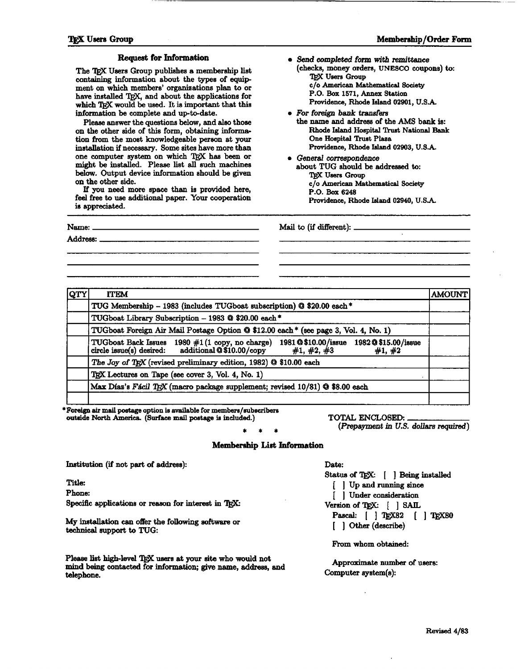## **TRX** Users Group *Membership/Order Form*

### Request **for Information**

The TEX Users Group publishes a membership list containing information about the types of **equip**  ment on which members' organizations plan to or have installed TEX, and about the applications for which TRX would be used. It is important that this information be complete and up-to-date.

Please **answer** the questions below, and **also** those on the other side of this form, obtaining information from the most knowledgeable pereon at **your**  installation if necessary. Some sites **have** more **than**  one computer system on which TEX has been or might be installed. Please list **dl** such **machines below.** Output device information should be **given**  on the other side.

If you need more apace than is provided here, feel free to **use** additional paper. Your cooperation is appreciated.

- *Send completed* **form with -ttance**  (checks, money orders, **UNESCO** coupons) to: <sup>1</sup> completed form w<br>
cks, money orders,<br> **IEX Users Group**<br>
/o American Mather **c/o American** Mathematical **8ociety**  P.O. **Box 1571, Annex Station**  Providence, **Rhode Island** 02901, U.S.A.
- **0** For foreign bank transfers the name and **addreas** of the AMS bank **ia:**  Rhode IuIand **Hoepital** 'I'rwt **National Bank One Hospital Trust Plaza** Providence, Rhode Island 02903, **U.S.A..**
- *General* correspondence about **TUG** should be addressed **to:**  T@C **Usere Group c/o American** Mathemstical **Society P.O.** Box 6248 Providence, Rhode Island 02940, U.S.A.

Name: Mail to (if **different):** 

Address:

| <b>QTY</b> | <b>ITEM</b>                                                                                                                                                | <b>AMOUNT</b> |  |
|------------|------------------------------------------------------------------------------------------------------------------------------------------------------------|---------------|--|
|            | TUG Membership - 1983 (includes TUGboat subscription) @ \$20.00 each*                                                                                      |               |  |
|            | TUGboat Library Subscription - 1983 @ \$20.00 each*                                                                                                        |               |  |
|            | TUGboat Foreign Air Mail Postage Option @ \$12.00 each * (see page 3, Vol. 4, No. 1)                                                                       |               |  |
|            | TUGboat Back Issues 1980 #1(1 copy, no charge) 1981 @\$10.00/issue 1982 @\$15.00/issue circle issue(s) desired: additional @\$10.00/copy #1, #2, #3 #1, #2 |               |  |
|            | The Joy of TEX (revised preliminary edition, 1982) @ \$10.00 each                                                                                          |               |  |
|            | TEX Lectures on Tape (see cover 3, Vol. 4, No. 1)                                                                                                          |               |  |
|            | Max Díaz's Fácil TEX (macro package supplement; revised 10/81) @ \$8.00 each                                                                               |               |  |

**\*F@ air mail postage option ie mailable for members/uubucribere outside North America (Sd.** mail **pontage is** included.) TOTAL ENCLOSED:

### **Membership List Information**

Institution (if not part of address):

Title:

Phone:

Specific applications or reason for interest in TEX:

My installation **can** offer **the** following **software** or **technical** euppart to TUG:

Please list high-level TEX users at your site who would not **mind kg** contacted for information; **give** name, address, **and**  telephone.

(Prepayment in U.S. dollars required)

Date:

Status of TEX: [ ] Being installed [ ] Up and running since [ ] Under consideration Version of T<sub>E</sub>X: [ ] SAIL Pascal: [ ] TgX82 [ ] TgX80 [ ] Other (describe)

From whom obtained:

Approximate number of users: Computer system(8):